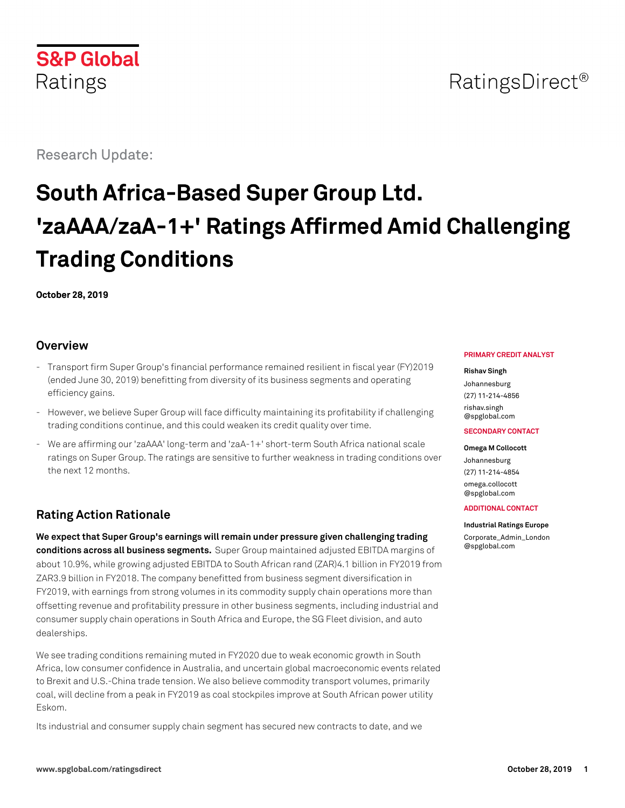

## RatingsDirect<sup>®</sup>

Research Update:

# **South Africa-Based Super Group Ltd. 'zaAAA/zaA-1+' Ratings Affirmed Amid Challenging Trading Conditions**

**October 28, 2019**

#### **Overview**

- Transport firm Super Group's financial performance remained resilient in fiscal year (FY)2019 (ended June 30, 2019) benefitting from diversity of its business segments and operating efficiency gains.
- However, we believe Super Group will face difficulty maintaining its profitability if challenging trading conditions continue, and this could weaken its credit quality over time.
- We are affirming our 'zaAAA' long-term and 'zaA-1+' short-term South Africa national scale ratings on Super Group. The ratings are sensitive to further weakness in trading conditions over the next 12 months.

## **Rating Action Rationale**

**We expect that Super Group's earnings will remain under pressure given challenging trading conditions across all business segments.** Super Group maintained adjusted EBITDA margins of about 10.9%, while growing adjusted EBITDA to South African rand (ZAR)4.1 billion in FY2019 from ZAR3.9 billion in FY2018. The company benefitted from business segment diversification in FY2019, with earnings from strong volumes in its commodity supply chain operations more than offsetting revenue and profitability pressure in other business segments, including industrial and consumer supply chain operations in South Africa and Europe, the SG Fleet division, and auto dealerships.

We see trading conditions remaining muted in FY2020 due to weak economic growth in South Africa, low consumer confidence in Australia, and uncertain global macroeconomic events related to Brexit and U.S.-China trade tension. We also believe commodity transport volumes, primarily coal, will decline from a peak in FY2019 as coal stockpiles improve at South African power utility Eskom.

Its industrial and consumer supply chain segment has secured new contracts to date, and we

#### **PRIMARY CREDIT ANALYST**

#### **Rishav Singh**

Johannesburg (27) 11-214-4856 [rishav.singh](mailto:rishav.singh@spglobal.com) [@spglobal.com](mailto:rishav.singh@spglobal.com)

#### **SECONDARY CONTACT**

**Omega M Collocott** Johannesburg (27) 11-214-4854 [omega.collocott](mailto:omega.collocott@spglobal.com) [@spglobal.com](mailto:omega.collocott@spglobal.com)

#### **ADDITIONAL CONTACT**

#### **Industrial Ratings Europe**

[Corporate\\_Admin\\_London](mailto:Corporate_Admin_London@spglobal.com) [@spglobal.com](mailto:Corporate_Admin_London@spglobal.com)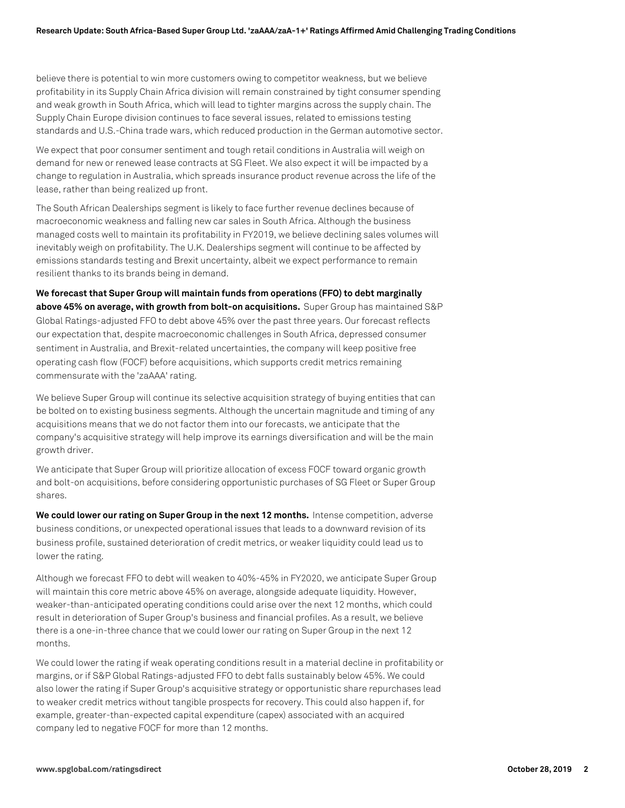believe there is potential to win more customers owing to competitor weakness, but we believe profitability in its Supply Chain Africa division will remain constrained by tight consumer spending and weak growth in South Africa, which will lead to tighter margins across the supply chain. The Supply Chain Europe division continues to face several issues, related to emissions testing standards and U.S.-China trade wars, which reduced production in the German automotive sector.

We expect that poor consumer sentiment and tough retail conditions in Australia will weigh on demand for new or renewed lease contracts at SG Fleet. We also expect it will be impacted by a change to regulation in Australia, which spreads insurance product revenue across the life of the lease, rather than being realized up front.

The South African Dealerships segment is likely to face further revenue declines because of macroeconomic weakness and falling new car sales in South Africa. Although the business managed costs well to maintain its profitability in FY2019, we believe declining sales volumes will inevitably weigh on profitability. The U.K. Dealerships segment will continue to be affected by emissions standards testing and Brexit uncertainty, albeit we expect performance to remain resilient thanks to its brands being in demand.

**We forecast that Super Group will maintain funds from operations (FFO) to debt marginally above 45% on average, with growth from bolt-on acquisitions.** Super Group has maintained S&P Global Ratings-adjusted FFO to debt above 45% over the past three years. Our forecast reflects our expectation that, despite macroeconomic challenges in South Africa, depressed consumer sentiment in Australia, and Brexit-related uncertainties, the company will keep positive free operating cash flow (FOCF) before acquisitions, which supports credit metrics remaining commensurate with the 'zaAAA' rating.

We believe Super Group will continue its selective acquisition strategy of buying entities that can be bolted on to existing business segments. Although the uncertain magnitude and timing of any acquisitions means that we do not factor them into our forecasts, we anticipate that the company's acquisitive strategy will help improve its earnings diversification and will be the main growth driver.

We anticipate that Super Group will prioritize allocation of excess FOCF toward organic growth and bolt-on acquisitions, before considering opportunistic purchases of SG Fleet or Super Group shares.

**We could lower our rating on Super Group in the next 12 months.** Intense competition, adverse business conditions, or unexpected operational issues that leads to a downward revision of its business profile, sustained deterioration of credit metrics, or weaker liquidity could lead us to lower the rating.

Although we forecast FFO to debt will weaken to 40%-45% in FY2020, we anticipate Super Group will maintain this core metric above 45% on average, alongside adequate liquidity. However, weaker-than-anticipated operating conditions could arise over the next 12 months, which could result in deterioration of Super Group's business and financial profiles. As a result, we believe there is a one-in-three chance that we could lower our rating on Super Group in the next 12 months.

We could lower the rating if weak operating conditions result in a material decline in profitability or margins, or if S&P Global Ratings-adjusted FFO to debt falls sustainably below 45%. We could also lower the rating if Super Group's acquisitive strategy or opportunistic share repurchases lead to weaker credit metrics without tangible prospects for recovery. This could also happen if, for example, greater-than-expected capital expenditure (capex) associated with an acquired company led to negative FOCF for more than 12 months.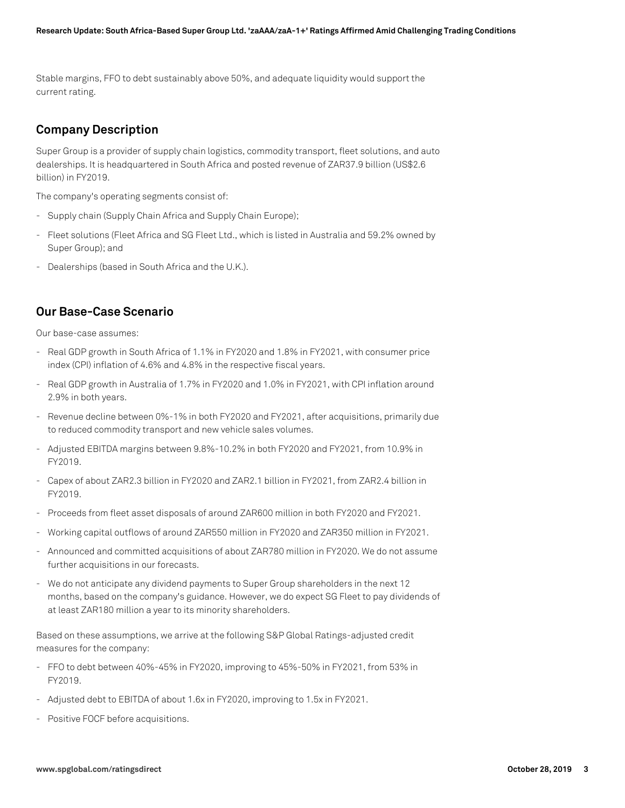Stable margins, FFO to debt sustainably above 50%, and adequate liquidity would support the current rating.

## **Company Description**

Super Group is a provider of supply chain logistics, commodity transport, fleet solutions, and auto dealerships. It is headquartered in South Africa and posted revenue of ZAR37.9 billion (US\$2.6 billion) in FY2019.

The company's operating segments consist of:

- Supply chain (Supply Chain Africa and Supply Chain Europe);
- Fleet solutions (Fleet Africa and SG Fleet Ltd., which is listed in Australia and 59.2% owned by Super Group); and
- Dealerships (based in South Africa and the U.K.).

#### **Our Base-Case Scenario**

Our base-case assumes:

- Real GDP growth in South Africa of 1.1% in FY2020 and 1.8% in FY2021, with consumer price index (CPI) inflation of 4.6% and 4.8% in the respective fiscal years.
- Real GDP growth in Australia of 1.7% in FY2020 and 1.0% in FY2021, with CPI inflation around 2.9% in both years.
- Revenue decline between 0%-1% in both FY2020 and FY2021, after acquisitions, primarily due to reduced commodity transport and new vehicle sales volumes.
- Adjusted EBITDA margins between 9.8%-10.2% in both FY2020 and FY2021, from 10.9% in FY2019.
- Capex of about ZAR2.3 billion in FY2020 and ZAR2.1 billion in FY2021, from ZAR2.4 billion in FY2019.
- Proceeds from fleet asset disposals of around ZAR600 million in both FY2020 and FY2021.
- Working capital outflows of around ZAR550 million in FY2020 and ZAR350 million in FY2021.
- Announced and committed acquisitions of about ZAR780 million in FY2020. We do not assume further acquisitions in our forecasts.
- We do not anticipate any dividend payments to Super Group shareholders in the next 12 months, based on the company's guidance. However, we do expect SG Fleet to pay dividends of at least ZAR180 million a year to its minority shareholders.

Based on these assumptions, we arrive at the following S&P Global Ratings-adjusted credit measures for the company:

- FFO to debt between 40%-45% in FY2020, improving to 45%-50% in FY2021, from 53% in FY2019.
- Adjusted debt to EBITDA of about 1.6x in FY2020, improving to 1.5x in FY2021.
- Positive FOCF before acquisitions.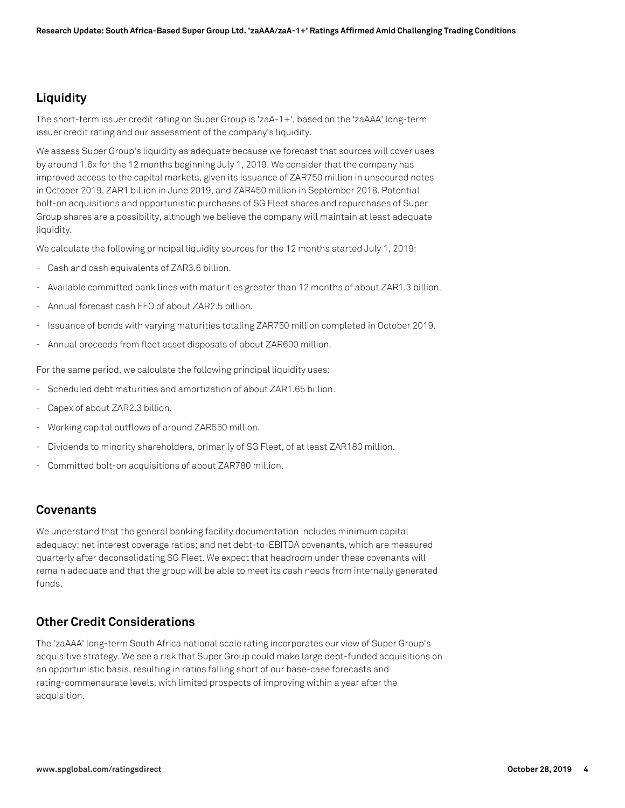## **Liquidity**

The short-term issuer credit rating on Super Group is 'zaA-1+', based on the 'zaAAA' long-term issuer credit rating and our assessment of the company's liquidity.

We assess Super Group's liquidity as adequate because we forecast that sources will cover uses by around 1.6x for the 12 months beginning July 1, 2019. We consider that the company has improved access to the capital markets, given its issuance of ZAR750 million in unsecured notes in October 2019, ZAR1 billion in June 2019, and ZAR450 million in September 2018. Potential bolt-on acquisitions and opportunistic purchases of SG Fleet shares and repurchases of Super Group shares are a possibility, although we believe the company will maintain at least adequate liquidity.

We calculate the following principal liquidity sources for the 12 months started July 1, 2019:

- Cash and cash equivalents of ZAR3.6 billion.
- Available committed bank lines with maturities greater than 12 months of about ZAR1.3 billion.
- Annual forecast cash FFO of about ZAR2.5 billion.
- Issuance of bonds with varying maturities totaling ZAR750 million completed in October 2019.
- Annual proceeds from fleet asset disposals of about ZAR600 million.

For the same period, we calculate the following principal liquidity uses:

- Scheduled debt maturities and amortization of about ZAR1.65 billion.
- Capex of about ZAR2.3 billion.
- Working capital outflows of around ZAR550 million.
- Dividends to minority shareholders, primarily of SG Fleet, of at least ZAR180 million.
- Committed bolt-on acquisitions of about ZAR780 million.

#### **Covenants**

We understand that the general banking facility documentation includes minimum capital adequacy; net interest coverage ratios; and net debt-to-EBITDA covenants, which are measured quarterly after deconsolidating SG Fleet. We expect that headroom under these covenants will remain adequate and that the group will be able to meet its cash needs from internally generated funds.

## **Other Credit Considerations**

The 'zaAAA' long-term South Africa national scale rating incorporates our view of Super Group's acquisitive strategy. We see a risk that Super Group could make large debt-funded acquisitions on an opportunistic basis, resulting in ratios falling short of our base-case forecasts and rating-commensurate levels, with limited prospects of improving within a year after the acquisition.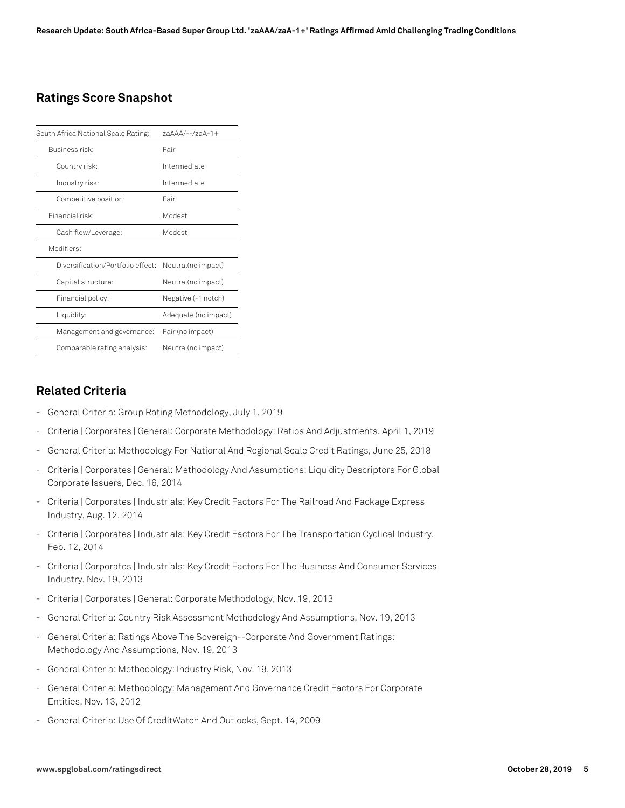### **Ratings Score Snapshot**

| South Africa National Scale Rating: | $7aAAA/--/7aA-1+$    |
|-------------------------------------|----------------------|
| Business risk:                      | Fair                 |
| Country risk:                       | Intermediate         |
| Industry risk:                      | Intermediate         |
| Competitive position:               | Fair                 |
| Financial risk:                     | Modest               |
| Cash flow/Leverage:                 | Modest               |
| Modifiers:                          |                      |
| Diversification/Portfolio effect:   | Neutral(no impact)   |
| Capital structure:                  | Neutral(no impact)   |
| Financial policy:                   | Negative (-1 notch)  |
| Liquidity:                          | Adequate (no impact) |
| Management and governance:          | Fair (no impact)     |
| Comparable rating analysis:         | Neutral(no impact)   |

#### **Related Criteria**

- General Criteria: Group Rating Methodology, July 1, 2019
- Criteria | Corporates | General: Corporate Methodology: Ratios And Adjustments, April 1, 2019
- General Criteria: Methodology For National And Regional Scale Credit Ratings, June 25, 2018
- Criteria | Corporates | General: Methodology And Assumptions: Liquidity Descriptors For Global Corporate Issuers, Dec. 16, 2014
- Criteria | Corporates | Industrials: Key Credit Factors For The Railroad And Package Express Industry, Aug. 12, 2014
- Criteria | Corporates | Industrials: Key Credit Factors For The Transportation Cyclical Industry, Feb. 12, 2014
- Criteria | Corporates | Industrials: Key Credit Factors For The Business And Consumer Services Industry, Nov. 19, 2013
- Criteria | Corporates | General: Corporate Methodology, Nov. 19, 2013
- General Criteria: Country Risk Assessment Methodology And Assumptions, Nov. 19, 2013
- General Criteria: Ratings Above The Sovereign--Corporate And Government Ratings: Methodology And Assumptions, Nov. 19, 2013
- General Criteria: Methodology: Industry Risk, Nov. 19, 2013
- General Criteria: Methodology: Management And Governance Credit Factors For Corporate Entities, Nov. 13, 2012
- General Criteria: Use Of CreditWatch And Outlooks, Sept. 14, 2009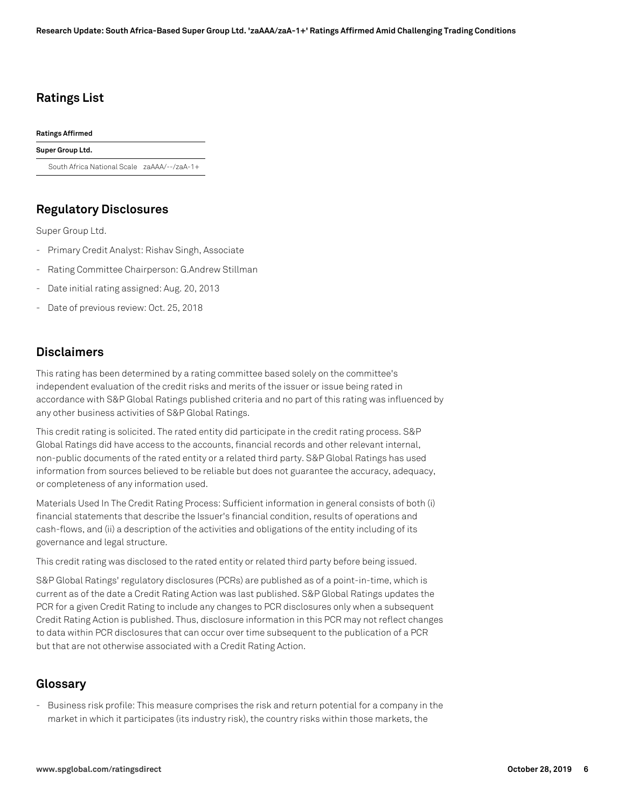### **Ratings List**

**Ratings Affirmed**

**Super Group Ltd.**

South Africa National Scale zaAAA/--/zaA-1+

#### **Regulatory Disclosures**

Super Group Ltd.

- Primary Credit Analyst: Rishav Singh, Associate
- Rating Committee Chairperson: G.Andrew Stillman
- Date initial rating assigned: Aug. 20, 2013
- Date of previous review: Oct. 25, 2018

#### **Disclaimers**

This rating has been determined by a rating committee based solely on the committee's independent evaluation of the credit risks and merits of the issuer or issue being rated in accordance with S&P Global Ratings published criteria and no part of this rating was influenced by any other business activities of S&P Global Ratings.

This credit rating is solicited. The rated entity did participate in the credit rating process. S&P Global Ratings did have access to the accounts, financial records and other relevant internal, non-public documents of the rated entity or a related third party. S&P Global Ratings has used information from sources believed to be reliable but does not guarantee the accuracy, adequacy, or completeness of any information used.

Materials Used In The Credit Rating Process: Sufficient information in general consists of both (i) financial statements that describe the Issuer's financial condition, results of operations and cash-flows, and (ii) a description of the activities and obligations of the entity including of its governance and legal structure.

This credit rating was disclosed to the rated entity or related third party before being issued.

S&P Global Ratings' regulatory disclosures (PCRs) are published as of a point-in-time, which is current as of the date a Credit Rating Action was last published. S&P Global Ratings updates the PCR for a given Credit Rating to include any changes to PCR disclosures only when a subsequent Credit Rating Action is published. Thus, disclosure information in this PCR may not reflect changes to data within PCR disclosures that can occur over time subsequent to the publication of a PCR but that are not otherwise associated with a Credit Rating Action.

#### **Glossary**

- Business risk profile: This measure comprises the risk and return potential for a company in the market in which it participates (its industry risk), the country risks within those markets, the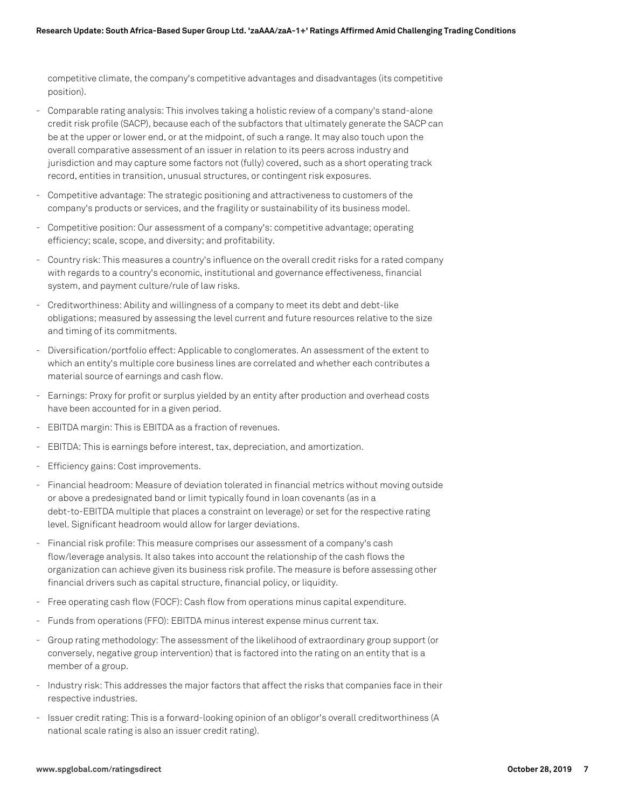competitive climate, the company's competitive advantages and disadvantages (its competitive position).

- Comparable rating analysis: This involves taking a holistic review of a company's stand-alone credit risk profile (SACP), because each of the subfactors that ultimately generate the SACP can be at the upper or lower end, or at the midpoint, of such a range. It may also touch upon the overall comparative assessment of an issuer in relation to its peers across industry and jurisdiction and may capture some factors not (fully) covered, such as a short operating track record, entities in transition, unusual structures, or contingent risk exposures.
- Competitive advantage: The strategic positioning and attractiveness to customers of the company's products or services, and the fragility or sustainability of its business model.
- Competitive position: Our assessment of a company's: competitive advantage; operating efficiency; scale, scope, and diversity; and profitability.
- Country risk: This measures a country's influence on the overall credit risks for a rated company with regards to a country's economic, institutional and governance effectiveness, financial system, and payment culture/rule of law risks.
- Creditworthiness: Ability and willingness of a company to meet its debt and debt-like obligations; measured by assessing the level current and future resources relative to the size and timing of its commitments.
- Diversification/portfolio effect: Applicable to conglomerates. An assessment of the extent to which an entity's multiple core business lines are correlated and whether each contributes a material source of earnings and cash flow.
- Earnings: Proxy for profit or surplus yielded by an entity after production and overhead costs have been accounted for in a given period.
- EBITDA margin: This is EBITDA as a fraction of revenues.
- EBITDA: This is earnings before interest, tax, depreciation, and amortization.
- Efficiency gains: Cost improvements.
- Financial headroom: Measure of deviation tolerated in financial metrics without moving outside or above a predesignated band or limit typically found in loan covenants (as in a debt-to-EBITDA multiple that places a constraint on leverage) or set for the respective rating level. Significant headroom would allow for larger deviations.
- Financial risk profile: This measure comprises our assessment of a company's cash flow/leverage analysis. It also takes into account the relationship of the cash flows the organization can achieve given its business risk profile. The measure is before assessing other financial drivers such as capital structure, financial policy, or liquidity.
- Free operating cash flow (FOCF): Cash flow from operations minus capital expenditure.
- Funds from operations (FFO): EBITDA minus interest expense minus current tax.
- Group rating methodology: The assessment of the likelihood of extraordinary group support (or conversely, negative group intervention) that is factored into the rating on an entity that is a member of a group.
- Industry risk: This addresses the major factors that affect the risks that companies face in their respective industries.
- Issuer credit rating: This is a forward-looking opinion of an obligor's overall creditworthiness (A national scale rating is also an issuer credit rating).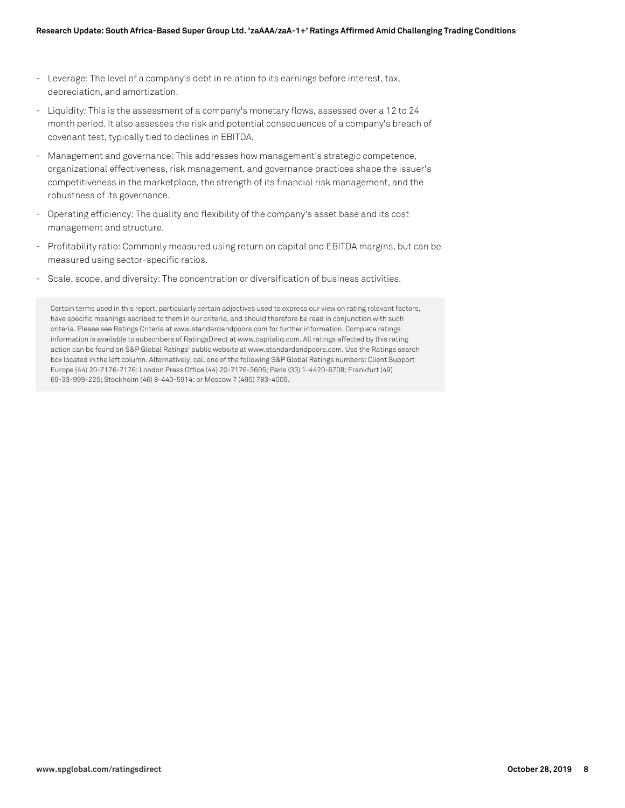- Leverage: The level of a company's debt in relation to its earnings before interest, tax, depreciation, and amortization.
- Liquidity: This is the assessment of a company's monetary flows, assessed over a 12 to 24 month period. It also assesses the risk and potential consequences of a company's breach of covenant test, typically tied to declines in EBITDA.
- Management and governance: This addresses how management's strategic competence, organizational effectiveness, risk management, and governance practices shape the issuer's competitiveness in the marketplace, the strength of its financial risk management, and the robustness of its governance.
- Operating efficiency: The quality and flexibility of the company's asset base and its cost management and structure.
- Profitability ratio: Commonly measured using return on capital and EBITDA margins, but can be measured using sector-specific ratios.
- Scale, scope, and diversity: The concentration or diversification of business activities.

Certain terms used in this report, particularly certain adjectives used to express our view on rating relevant factors, have specific meanings ascribed to them in our criteria, and should therefore be read in conjunction with such criteria. Please see Ratings Criteria at www.standardandpoors.com for further information. Complete ratings information is available to subscribers of RatingsDirect at www.capitaliq.com. All ratings affected by this rating action can be found on S&P Global Ratings' public website at www.standardandpoors.com. Use the Ratings search box located in the left column. Alternatively, call one of the following S&P Global Ratings numbers: Client Support Europe (44) 20-7176-7176; London Press Office (44) 20-7176-3605; Paris (33) 1-4420-6708; Frankfurt (49) 69-33-999-225; Stockholm (46) 8-440-5914; or Moscow 7 (495) 783-4009.